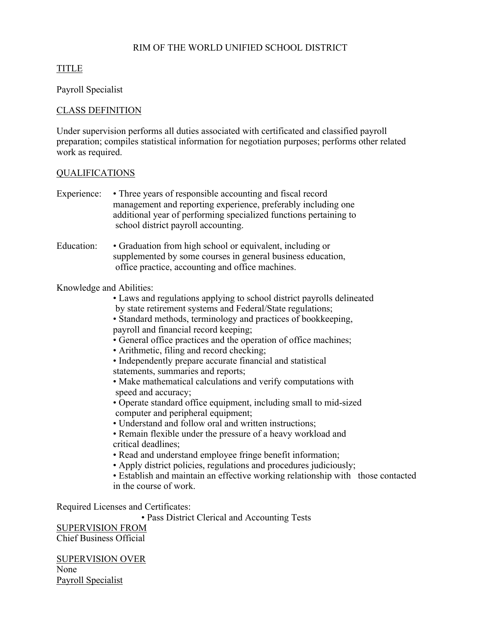### RIM OF THE WORLD UNIFIED SCHOOL DISTRICT

# TITLE

Payroll Specialist

### CLASS DEFINITION

Under supervision performs all duties associated with certificated and classified payroll preparation; compiles statistical information for negotiation purposes; performs other related work as required.

#### QUALIFICATIONS

Experience: • Three years of responsible accounting and fiscal record management and reporting experience, preferably including one additional year of performing specialized functions pertaining to school district payroll accounting.

Education: • Graduation from high school or equivalent, including or supplemented by some courses in general business education, office practice, accounting and office machines.

#### Knowledge and Abilities:

• Laws and regulations applying to school district payrolls delineated by state retirement systems and Federal/State regulations;

 • Standard methods, terminology and practices of bookkeeping, payroll and financial record keeping;

- General office practices and the operation of office machines;
- Arithmetic, filing and record checking;
- Independently prepare accurate financial and statistical statements, summaries and reports;
- Make mathematical calculations and verify computations with speed and accuracy;
- Operate standard office equipment, including small to mid-sized computer and peripheral equipment;
- Understand and follow oral and written instructions;
- Remain flexible under the pressure of a heavy workload and critical deadlines;
- Read and understand employee fringe benefit information;
- Apply district policies, regulations and procedures judiciously;
- Establish and maintain an effective working relationship with those contacted in the course of work.

Required Licenses and Certificates:

• Pass District Clerical and Accounting Tests

SUPERVISION FROM Chief Business Official

SUPERVISION OVER None Payroll Specialist